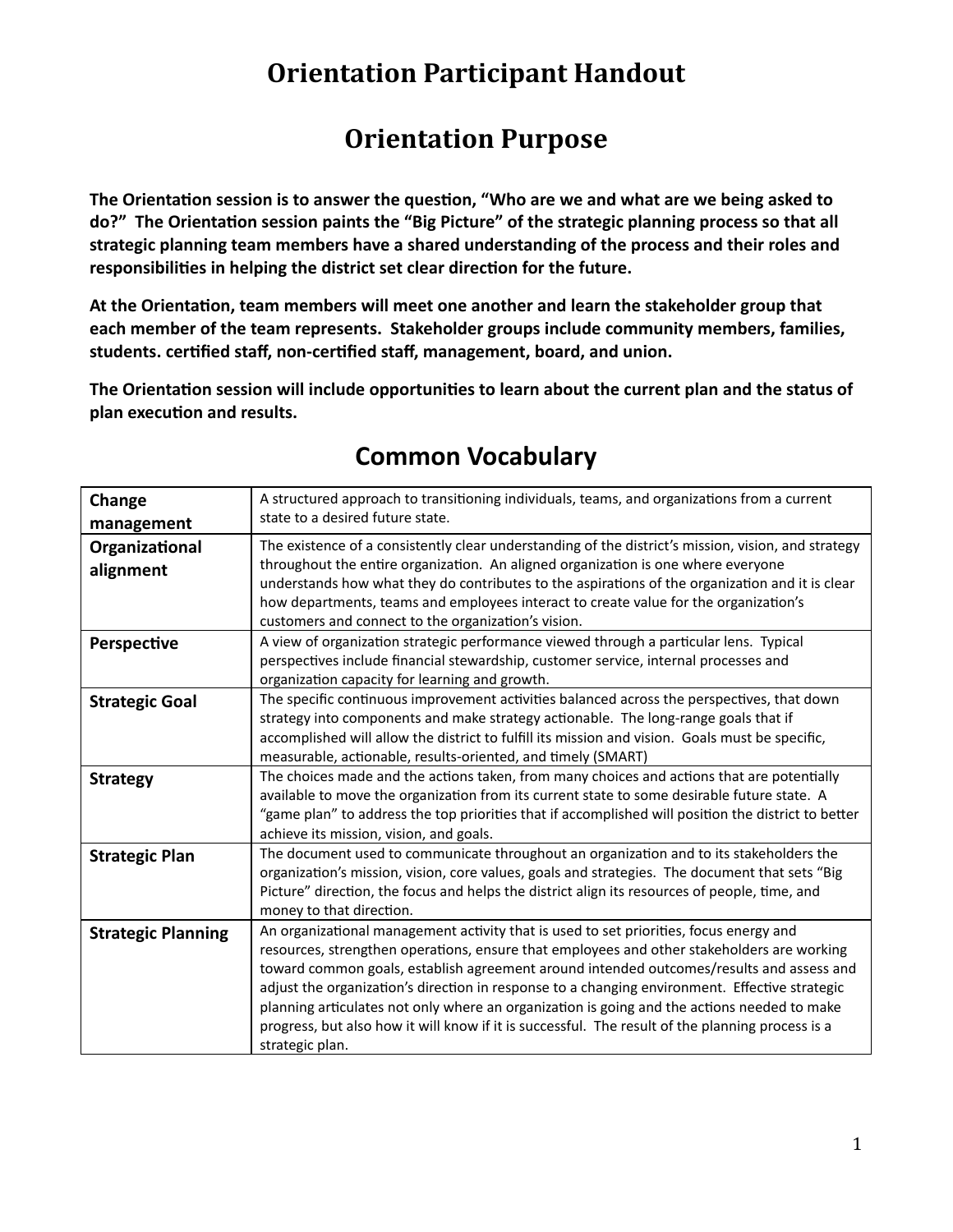# **Orientation Participant Handout**

# **Orientation Purpose**

The Orientation session is to answer the question, "Who are we and what are we being asked to do?" The Orientation session paints the "Big Picture" of the strategic planning process so that all **strategic planning team members have a shared understanding of the process and their roles and** responsibilities in helping the district set clear direction for the future.

At the Orientation, team members will meet one another and learn the stakeholder group that **each member of the team represents. Stakeholder groups include community members, families, students. cerfied staff, non-cerfied staff, management, board, and union.**

The Orientation session will include opportunities to learn about the current plan and the status of plan execution and results.

| Change                    | A structured approach to transitioning individuals, teams, and organizations from a current         |
|---------------------------|-----------------------------------------------------------------------------------------------------|
| management                | state to a desired future state.                                                                    |
| Organizational            | The existence of a consistently clear understanding of the district's mission, vision, and strategy |
| alignment                 | throughout the entire organization. An aligned organization is one where everyone                   |
|                           | understands how what they do contributes to the aspirations of the organization and it is clear     |
|                           | how departments, teams and employees interact to create value for the organization's                |
|                           | customers and connect to the organization's vision.                                                 |
| Perspective               | A view of organization strategic performance viewed through a particular lens. Typical              |
|                           | perspectives include financial stewardship, customer service, internal processes and                |
|                           | organization capacity for learning and growth.                                                      |
| <b>Strategic Goal</b>     | The specific continuous improvement activities balanced across the perspectives, that down          |
|                           | strategy into components and make strategy actionable. The long-range goals that if                 |
|                           | accomplished will allow the district to fulfill its mission and vision. Goals must be specific,     |
|                           | measurable, actionable, results-oriented, and timely (SMART)                                        |
| <b>Strategy</b>           | The choices made and the actions taken, from many choices and actions that are potentially          |
|                           | available to move the organization from its current state to some desirable future state. A         |
|                           | "game plan" to address the top priorities that if accomplished will position the district to better |
|                           | achieve its mission, vision, and goals.                                                             |
| <b>Strategic Plan</b>     | The document used to communicate throughout an organization and to its stakeholders the             |
|                           | organization's mission, vision, core values, goals and strategies. The document that sets "Big      |
|                           | Picture" direction, the focus and helps the district align its resources of people, time, and       |
|                           | money to that direction.                                                                            |
| <b>Strategic Planning</b> | An organizational management activity that is used to set priorities, focus energy and              |
|                           | resources, strengthen operations, ensure that employees and other stakeholders are working          |
|                           | toward common goals, establish agreement around intended outcomes/results and assess and            |
|                           | adjust the organization's direction in response to a changing environment. Effective strategic      |
|                           | planning articulates not only where an organization is going and the actions needed to make         |
|                           | progress, but also how it will know if it is successful. The result of the planning process is a    |
|                           | strategic plan.                                                                                     |

# **Common Vocabulary**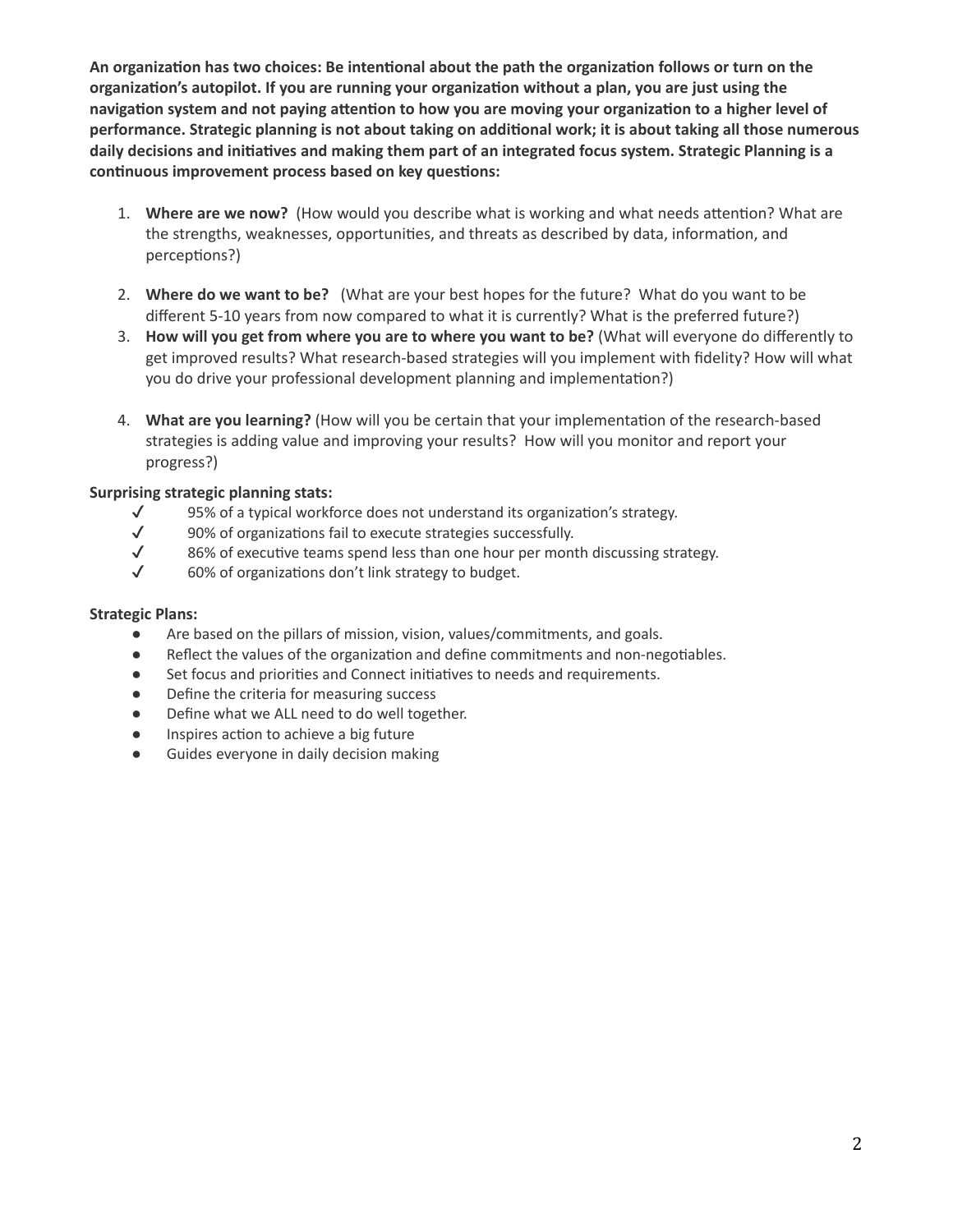**An organizaon has two choices: Be intenonal about the path the organizaon follows or turn on the organizaon's autopilot. If you are running your organizaon without a plan, you are just using the navigation** system and not paying attention to how you are moving your organization to a higher level of performance. Strategic planning is not about taking on additional work; it is about taking all those numerous **daily decisions and iniaves and making them part of an integrated focus system. Strategic Planning is a continuous improvement process based on key questions:** 

- 1. Where are we now? (How would you describe what is working and what needs attention? What are the strengths, weaknesses, opportunities, and threats as described by data, information, and perceptions?)
- 2. **Where do we want to be?** (What are your best hopes for the future? What do you want to be different 5-10 years from now compared to what it is currently? What is the preferred future?)
- 3. **How will you get from where you are to where you want to be?** (What will everyone do differently to get improved results? What research-based strategies will you implement with fidelity? How will what you do drive your professional development planning and implementation?)
- 4. What are you learning? (How will you be certain that your implementation of the research-based strategies is adding value and improving your results? How will you monitor and report your progress?)

### **Surprising strategic planning stats:**

- $\checkmark$  95% of a typical workforce does not understand its organization's strategy.<br> $\checkmark$  90% of organizations fail to execute strategies successfully.
- 90% of organizations fail to execute strategies successfully.
- $\checkmark$  86% of executive teams spend less than one hour per month discussing strategy.
- $\checkmark$  60% of organizations don't link strategy to budget.

#### **Strategic Plans:**

- Are based on the pillars of mission, vision, values/commitments, and goals.
- Reflect the values of the organization and define commitments and non-negotiables.
- Set focus and priorities and Connect initiatives to needs and requirements.
- Define the criteria for measuring success
- Define what we ALL need to do well together.
- Inspires action to achieve a big future
- Guides everyone in daily decision making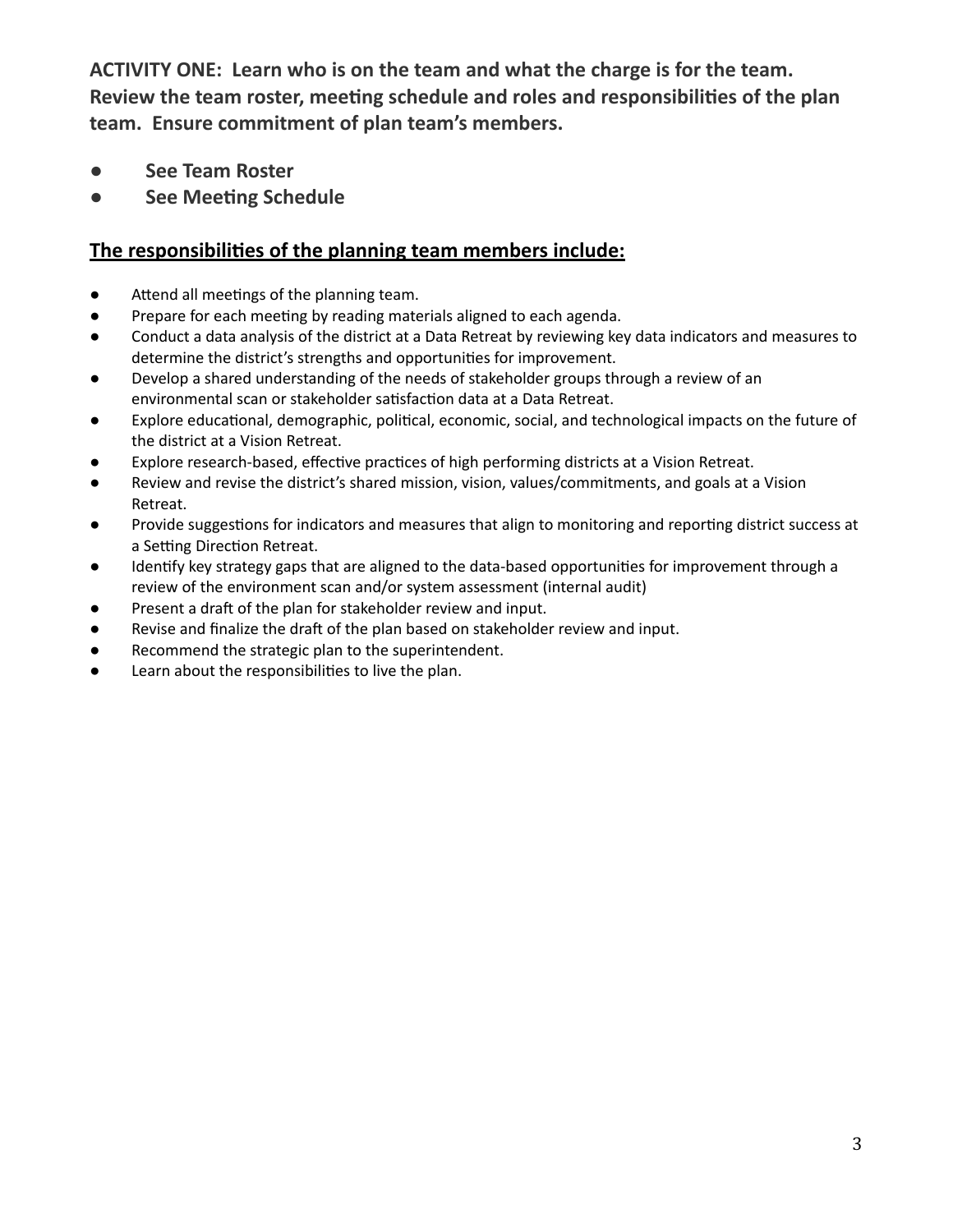**ACTIVITY ONE: Learn who is on the team and what the charge is for the team. Review the team roster, meeng schedule and roles and responsibilies of the plan team. Ensure commitment of plan team's members.**

- **See Team Roster**
- **See Meeng Schedule**

## **The responsibilies of the planning team members include:**

- $\bullet$  Attend all meetings of the planning team.
- Prepare for each meeting by reading materials aligned to each agenda.
- Conduct a data analysis of the district at a Data Retreat by reviewing key data indicators and measures to determine the district's strengths and opportunities for improvement.
- Develop a shared understanding of the needs of stakeholder groups through a review of an environmental scan or stakeholder satisfaction data at a Data Retreat.
- Explore educational, demographic, political, economic, social, and technological impacts on the future of the district at a Vision Retreat.
- Explore research-based, effective practices of high performing districts at a Vision Retreat.
- Review and revise the district's shared mission, vision, values/commitments, and goals at a Vision Retreat.
- Provide suggestions for indicators and measures that align to monitoring and reporting district success at a Setting Direction Retreat.
- Identify key strategy gaps that are aligned to the data-based opportunities for improvement through a review of the environment scan and/or system assessment (internal audit)
- Present a draft of the plan for stakeholder review and input.
- Revise and finalize the draft of the plan based on stakeholder review and input.
- Recommend the strategic plan to the superintendent.
- Learn about the responsibilies to live the plan.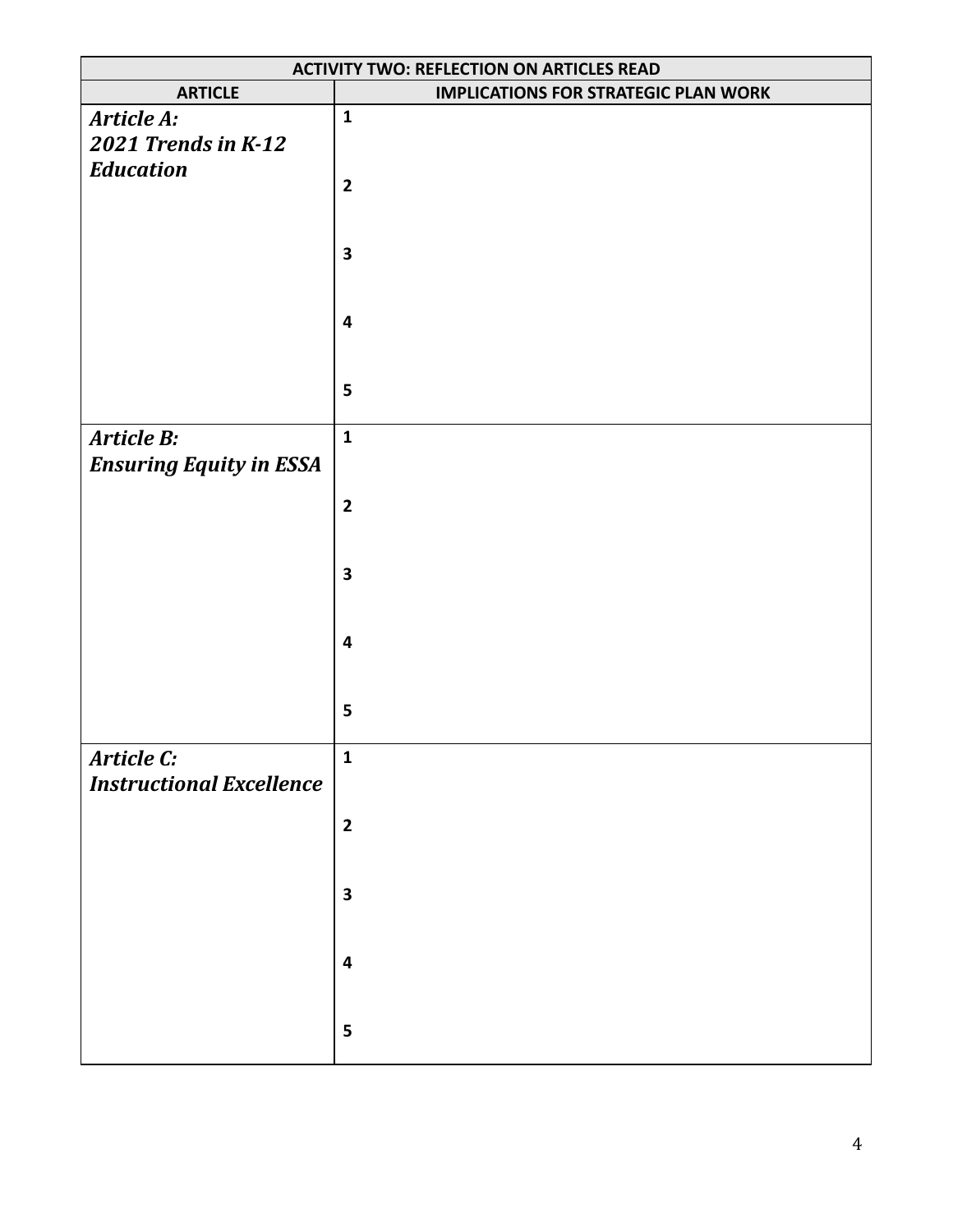| <b>ACTIVITY TWO: REFLECTION ON ARTICLES READ</b> |                                             |  |
|--------------------------------------------------|---------------------------------------------|--|
| <b>ARTICLE</b>                                   | <b>IMPLICATIONS FOR STRATEGIC PLAN WORK</b> |  |
| Article A:                                       | $\mathbf{1}$                                |  |
| 2021 Trends in K-12                              |                                             |  |
| <b>Education</b>                                 |                                             |  |
|                                                  | $\mathbf{2}$                                |  |
|                                                  |                                             |  |
|                                                  |                                             |  |
|                                                  | $\overline{\mathbf{3}}$                     |  |
|                                                  |                                             |  |
|                                                  |                                             |  |
|                                                  | $\overline{\mathbf{4}}$                     |  |
|                                                  |                                             |  |
|                                                  | 5                                           |  |
|                                                  |                                             |  |
| Article B:                                       | $\mathbf{1}$                                |  |
| <b>Ensuring Equity in ESSA</b>                   |                                             |  |
|                                                  |                                             |  |
|                                                  | $\mathbf{2}$                                |  |
|                                                  |                                             |  |
|                                                  |                                             |  |
|                                                  | 3                                           |  |
|                                                  |                                             |  |
|                                                  |                                             |  |
|                                                  | $\overline{\mathbf{4}}$                     |  |
|                                                  |                                             |  |
|                                                  | 5                                           |  |
|                                                  |                                             |  |
| Article C:                                       | $\mathbf{1}$                                |  |
| <b>Instructional Excellence</b>                  |                                             |  |
|                                                  |                                             |  |
|                                                  | $\mathbf{2}$                                |  |
|                                                  |                                             |  |
|                                                  |                                             |  |
|                                                  | $\mathbf 3$                                 |  |
|                                                  |                                             |  |
|                                                  | $\overline{\mathbf{r}}$                     |  |
|                                                  |                                             |  |
|                                                  |                                             |  |
|                                                  | 5                                           |  |
|                                                  |                                             |  |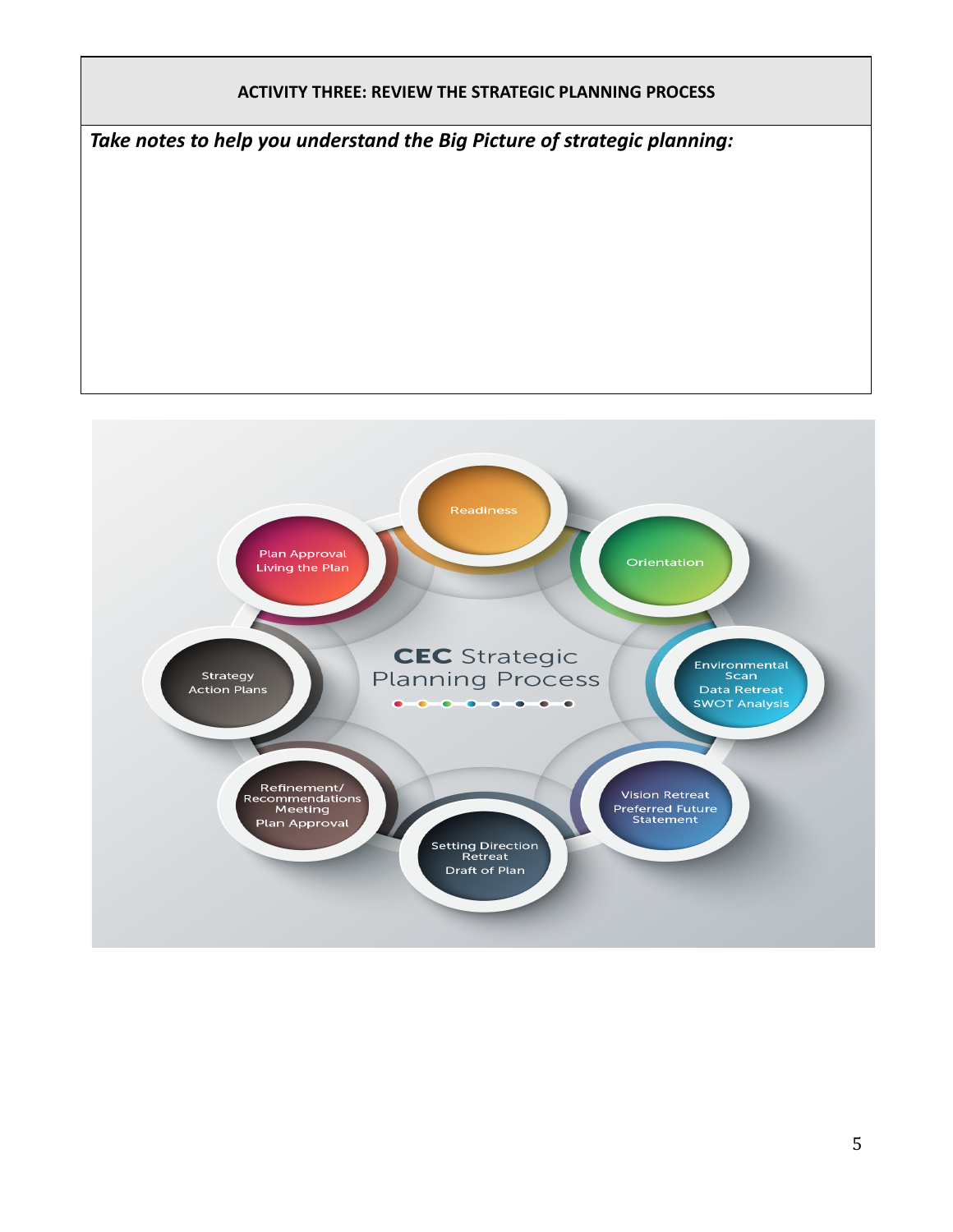

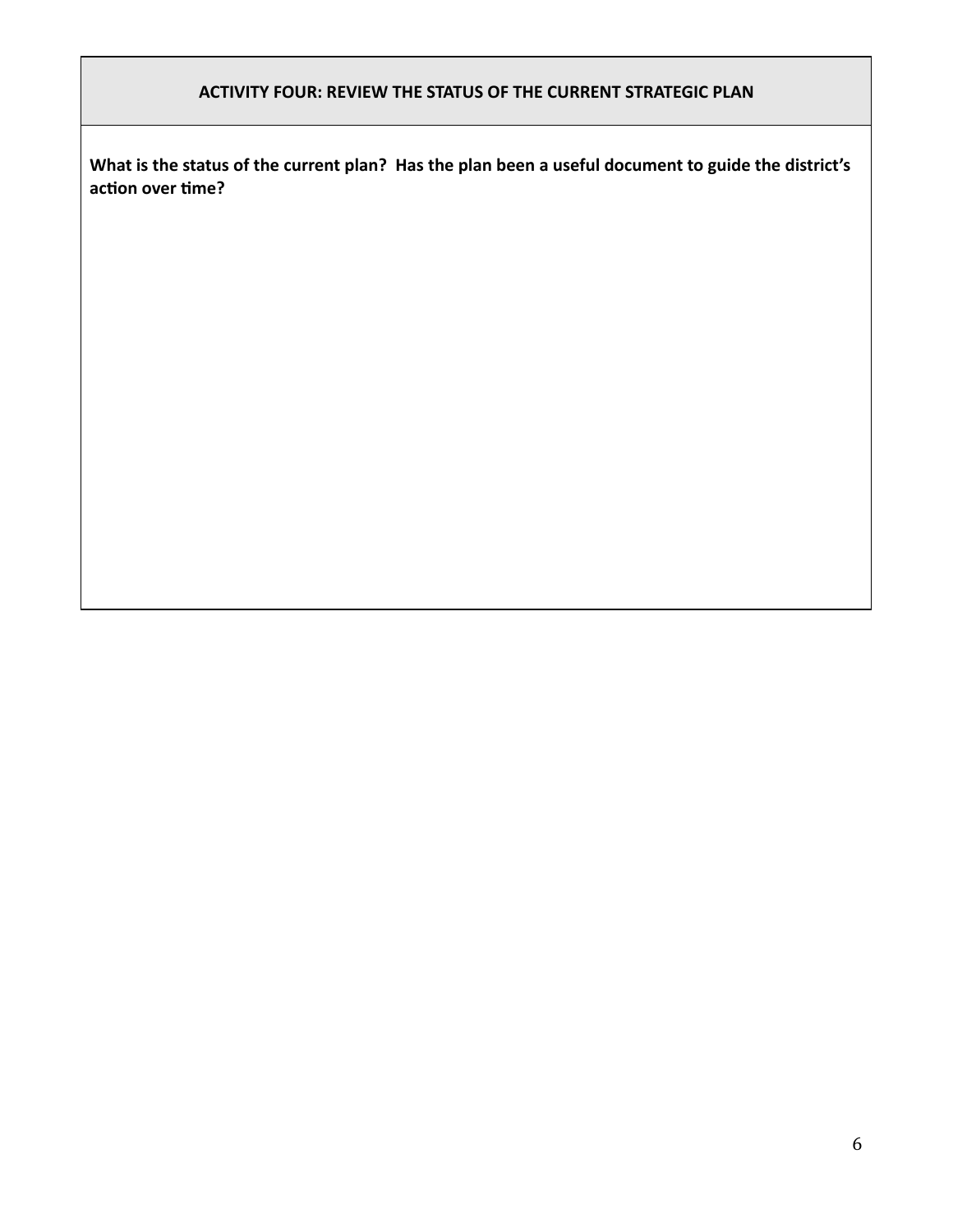### **ACTIVITY FOUR: REVIEW THE STATUS OF THE CURRENT STRATEGIC PLAN**

**What is the status of the current plan? Has the plan been a useful document to guide the district's** action over time?